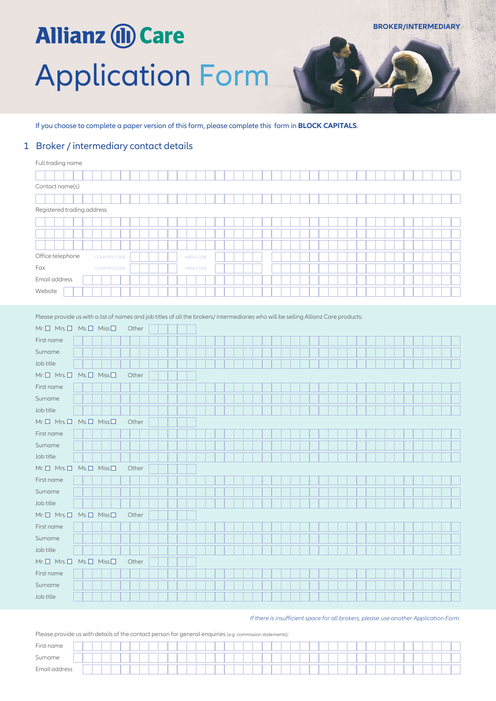# **Allianz (II) Care** Application Form

If you choose to complete a paper version of this form, please complete this form in **BLOCK CAPITALS**.

#### 1 Broker / intermediary contact details

| Full trading name                       |           |
|-----------------------------------------|-----------|
|                                         |           |
| Contact name(s)                         |           |
|                                         |           |
| Registered trading address              |           |
|                                         |           |
|                                         |           |
|                                         |           |
| Office telephone<br><b>COUNTRY CODE</b> | AREA CODE |
| Fax<br><b>COUNTRY CODE</b>              | AREA CODE |
| Email address                           |           |
| Website                                 |           |

Please provide us with a list of names and job titles of all the brokers/ intermediaries who will be selling Allianz Care products:

| $Mr. \Box$ Mrs. $\Box$ Ms. $\Box$ Miss $\Box$ |  | Other |  |  |  |  |  |  |  |  |  |  |  |  |  |  |
|-----------------------------------------------|--|-------|--|--|--|--|--|--|--|--|--|--|--|--|--|--|
| First name                                    |  |       |  |  |  |  |  |  |  |  |  |  |  |  |  |  |
| Surname                                       |  |       |  |  |  |  |  |  |  |  |  |  |  |  |  |  |
| Job title                                     |  |       |  |  |  |  |  |  |  |  |  |  |  |  |  |  |
| $Mr. \Box$ Mrs. $\Box$ Ms. $\Box$ Miss $\Box$ |  | Other |  |  |  |  |  |  |  |  |  |  |  |  |  |  |
| First name                                    |  |       |  |  |  |  |  |  |  |  |  |  |  |  |  |  |
| Surname                                       |  |       |  |  |  |  |  |  |  |  |  |  |  |  |  |  |
| Job title                                     |  |       |  |  |  |  |  |  |  |  |  |  |  |  |  |  |
| Mr. O Mrs. O Ms. O Miss O                     |  | Other |  |  |  |  |  |  |  |  |  |  |  |  |  |  |
| First name                                    |  |       |  |  |  |  |  |  |  |  |  |  |  |  |  |  |
| Surname                                       |  |       |  |  |  |  |  |  |  |  |  |  |  |  |  |  |
| Job title                                     |  |       |  |  |  |  |  |  |  |  |  |  |  |  |  |  |
| $Mr. \Box$ Mrs. $\Box$ Ms. $\Box$ Miss $\Box$ |  | Other |  |  |  |  |  |  |  |  |  |  |  |  |  |  |
| First name                                    |  |       |  |  |  |  |  |  |  |  |  |  |  |  |  |  |
| Surname                                       |  |       |  |  |  |  |  |  |  |  |  |  |  |  |  |  |
| Job title                                     |  |       |  |  |  |  |  |  |  |  |  |  |  |  |  |  |
| $Mr. \Box$ Mrs. $\Box$ Ms. $\Box$ Miss $\Box$ |  | Other |  |  |  |  |  |  |  |  |  |  |  |  |  |  |
| First name                                    |  |       |  |  |  |  |  |  |  |  |  |  |  |  |  |  |
| Surname                                       |  |       |  |  |  |  |  |  |  |  |  |  |  |  |  |  |
| Job title                                     |  |       |  |  |  |  |  |  |  |  |  |  |  |  |  |  |
| Mr. O Mrs. O Ms. O Miss O                     |  | Other |  |  |  |  |  |  |  |  |  |  |  |  |  |  |
| First name                                    |  |       |  |  |  |  |  |  |  |  |  |  |  |  |  |  |
| Surname                                       |  |       |  |  |  |  |  |  |  |  |  |  |  |  |  |  |
|                                               |  |       |  |  |  |  |  |  |  |  |  |  |  |  |  |  |

*If there is insufficient space for all brokers, please use another Application Form.*

Please provide us with details of the contact person for general enquiries (e.g. commission statements):

| First name        |  |  |  |  |  |  |  |  |  |  |  |  |  |  |  |  |  |  |  |  |  |
|-------------------|--|--|--|--|--|--|--|--|--|--|--|--|--|--|--|--|--|--|--|--|--|
| $\sim$<br>Surname |  |  |  |  |  |  |  |  |  |  |  |  |  |  |  |  |  |  |  |  |  |
| Email address     |  |  |  |  |  |  |  |  |  |  |  |  |  |  |  |  |  |  |  |  |  |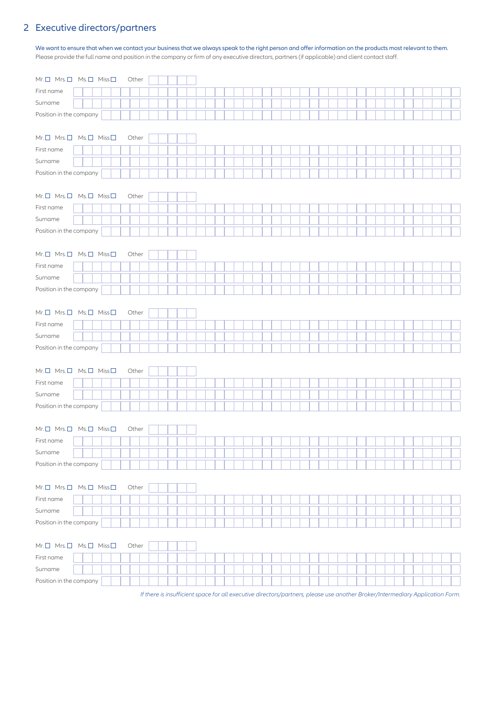### 2 Executive directors/partners

We want to ensure that when we contact your business that we always speak to the right person and offer information on the products most relevant to them. Please provide the full name and position in the company or firm of any executive directors, partners (if applicable) and client contact staff.

| $Mr. \Box$ Mrs. $\Box$ Ms. $\Box$ Miss $\Box$<br>Other |  |
|--------------------------------------------------------|--|
| First name                                             |  |
| Surname                                                |  |
| Position in the company                                |  |
|                                                        |  |
| Mr. O Mrs. O Ms. O Miss O<br>Other                     |  |
| First name                                             |  |
| Surname                                                |  |
| Position in the company                                |  |
|                                                        |  |
| Mr. O Mrs. O Ms. O Miss O<br>Other                     |  |
| First name                                             |  |
| Surname                                                |  |
| Position in the company                                |  |
|                                                        |  |
| Mr. O Mrs. O Ms. O Miss O<br>Other                     |  |
| First name                                             |  |
| Surname                                                |  |
| Position in the company                                |  |
|                                                        |  |
| Mr. O Mrs. O Ms. O Miss O<br>Other                     |  |
| First name                                             |  |
| Surname                                                |  |
| Position in the company                                |  |
|                                                        |  |
| $Mr. \Box$ Mrs. $\Box$ Ms. $\Box$ Miss $\Box$<br>Other |  |
| First name                                             |  |
|                                                        |  |
| Surname                                                |  |
|                                                        |  |
| Position in the company                                |  |
| $Mr, \Box$ Mrs. $\Box$ Ms. $\Box$ Miss $\Box$<br>Other |  |
| First name                                             |  |
|                                                        |  |
| Surname                                                |  |
| Position in the company                                |  |
|                                                        |  |
| $Mr. \Box$ Mrs. $\Box$ Ms. $\Box$ Miss $\Box$<br>Other |  |
| First name                                             |  |
| Surname                                                |  |
| Position in the company                                |  |
|                                                        |  |
| Mr. O Mrs. O Ms. O Miss O<br>Other                     |  |
| First name                                             |  |
| Surname<br>Position in the company                     |  |

*If there is insufficient space for all executive directors/partners, please use another Broker/Intermediary Application Form.*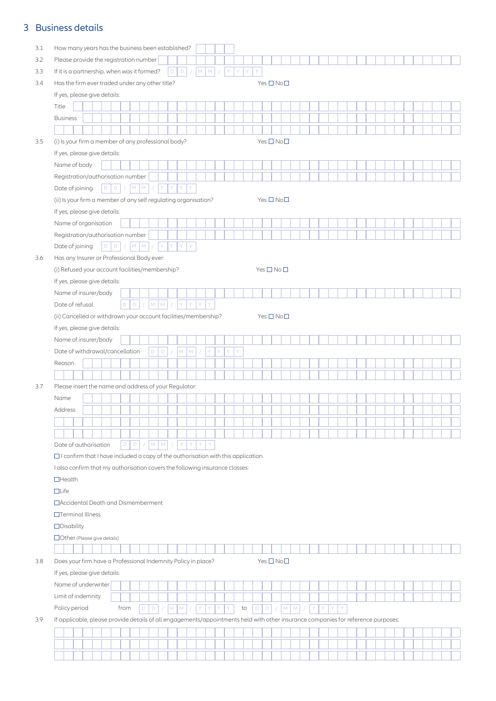# 3 Business details

| 3.1 | How many years has the business been established?                                                                                 |
|-----|-----------------------------------------------------------------------------------------------------------------------------------|
| 3.2 | Please provide the registration number                                                                                            |
| 3.3 | M M <br>If it is a partnership, when was it formed?<br>$D$ $D$<br>$\mathsf{Y}$<br>ΙY.<br>Y<br>$\sqrt{2}$<br>$\sqrt{2}$<br>Y       |
| 3.4 | Has the firm ever traded under any other title?<br>Yes $\square$ No $\square$                                                     |
|     | If yes, please give details:                                                                                                      |
|     | Title                                                                                                                             |
|     | <b>Business</b>                                                                                                                   |
|     |                                                                                                                                   |
| 3.5 | (i) Is your firm a member of any professional body?<br>Yes $\square$ No $\square$                                                 |
|     | If yes, please give details:                                                                                                      |
|     |                                                                                                                                   |
|     | Name of body                                                                                                                      |
|     | Registration/authorisation number<br>Y<br>$D$ $D$<br> M <br>M<br>Y<br>Y<br>Y                                                      |
|     | Date of joining                                                                                                                   |
|     | (ii) Is your firm a member of any self regulating organisation?<br>Yes $\square$ No $\square$                                     |
|     | If yes, please give details:                                                                                                      |
|     | Name of organisation                                                                                                              |
|     | Registration/authorisation number                                                                                                 |
|     | Y<br>ΙY.<br>$D$ $D$<br>$M$ $M$<br>Y<br>Y<br>Date of joining                                                                       |
| 3.6 | Has any Insurer or Professional Body ever:                                                                                        |
|     | (i) Refused your account facilities/membership?<br>Yes $\square$ No $\square$                                                     |
|     | If yes, please give details:                                                                                                      |
|     | Name of insurer/body                                                                                                              |
|     | $M$ $M$<br>$\mathsf D$<br>D<br>Y<br>Y<br>Y<br>Y.<br>Date of refusal                                                               |
|     | (ii) Cancelled or withdrawn your account facilities/membership?<br>Yes $\square$ No $\square$                                     |
|     | If yes, please give details:                                                                                                      |
|     | Name of insurer/body                                                                                                              |
|     | Date of withdrawal/cancellation<br>$M$ $M$ /<br>Y.<br>$\mathsf D$<br>D.<br>Y.<br>Y<br>Y<br>$\sqrt{2}$                             |
|     | Reason                                                                                                                            |
|     |                                                                                                                                   |
| 3.7 | Please insert the name and address of your Regulator:                                                                             |
|     | Name                                                                                                                              |
|     | Address                                                                                                                           |
|     |                                                                                                                                   |
|     |                                                                                                                                   |
|     | Date of authorisation<br>D   D  <br>$M$ $M$<br>Y<br>Y                                                                             |
|     | $\Box$ I confirm that I have included a copy of the authorisation with this application.                                          |
|     | I also confirm that my authorisation covers the following insurance classes:                                                      |
|     | $\Box$ Health                                                                                                                     |
|     | $\Box$ Life                                                                                                                       |
|     | □ Accidental Death and Dismemberment                                                                                              |
|     | $\Box$ Terminal Illness                                                                                                           |
|     | $\Box$ Disability                                                                                                                 |
|     | $\Box$ Other (Please give details)                                                                                                |
|     |                                                                                                                                   |
| 3.8 | Does your firm have a Professional Indemnity Policy in place?<br>Yes□No□                                                          |
|     | If yes, please give details:                                                                                                      |
|     | Name of underwriter                                                                                                               |
|     | Limit of indemnity                                                                                                                |
|     | Policy period<br>from<br>D<br>M<br>to<br>$\mathsf D$<br>${\sf M}$<br>M<br>D<br>M<br>$\mathsf D$<br>Y<br>Y                         |
| 3.9 | If applicable, please provide details of all engagements/appointments held with other insurance companies for reference purposes: |
|     |                                                                                                                                   |
|     |                                                                                                                                   |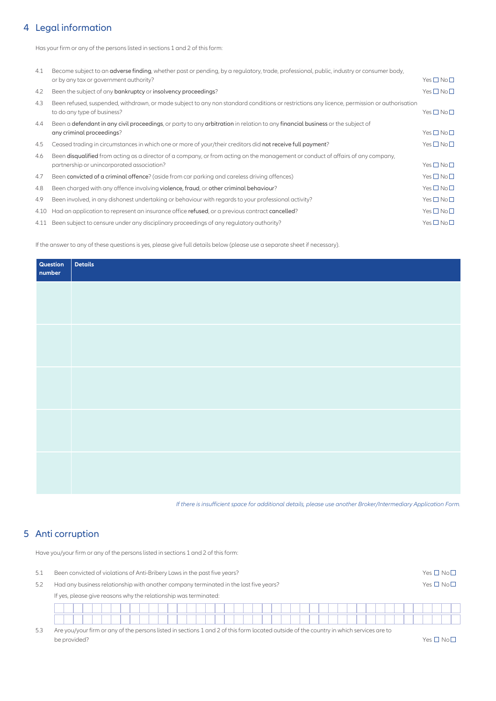#### 4 Legal information

Has your firm or any of the persons listed in sections 1 and 2 of this form:

| 4.1  | Become subject to an adverse finding, whether past or pending, by a regulatory, trade, professional, public, industry or consumer body,                                    |                            |
|------|----------------------------------------------------------------------------------------------------------------------------------------------------------------------------|----------------------------|
|      | or by any tax or government authority?                                                                                                                                     | Yes $\square$ No $\square$ |
| 4.2  | Been the subject of any bankruptcy or insolvency proceedings?                                                                                                              | Yes $\square$ No $\square$ |
| 4.3  | Been refused, suspended, withdrawn, or made subject to any non standard conditions or restrictions any licence, permission or authorisation<br>to do any type of business? | Yes $\square$ No $\square$ |
| 4.4  | Been a defendant in any civil proceedings, or party to any arbitration in relation to any financial business or the subject of                                             |                            |
|      | any criminal proceedings?                                                                                                                                                  | Yes $\square$ No $\square$ |
| 4.5  | Ceased trading in circumstances in which one or more of your/their creditors did not receive full payment?                                                                 | Yes $\square$ No $\square$ |
| 4.6  | Been disqualified from acting as a director of a company, or from acting on the management or conduct of affairs of any company,                                           |                            |
|      | partnership or unincorporated association?                                                                                                                                 | Yes $\square$ No $\square$ |
| 4.7  | Been convicted of a criminal offence? (aside from car parking and careless driving offences)                                                                               | Yes $\square$ No $\square$ |
| 4.8  | Been charged with any offence involving violence, fraud, or other criminal behaviour?                                                                                      | Yes $\square$ No $\square$ |
| 4.9  | Been involved, in any dishonest undertaking or behaviour with regards to your professional activity?                                                                       | Yes $\square$ No $\square$ |
| 4.10 | Had an application to represent an insurance office refused, or a previous contract cancelled?                                                                             | Yes $\square$ No $\square$ |
|      | 4.11 Been subject to censure under any disciplinary proceedings of any regulatory authority?                                                                               | Yes $\square$ No $\square$ |

If the answer to any of these questions is yes, please give full details below (please use a separate sheet if necessary).

| Question<br>number | Details |
|--------------------|---------|
|                    |         |
|                    |         |
|                    |         |
|                    |         |
|                    |         |
|                    |         |
|                    |         |
|                    |         |
|                    |         |
|                    |         |

*If there is insufficient space for additional details, please use another Broker/Intermediary Application Form.*

#### 5 Anti corruption

Have you/your firm or any of the persons listed in sections 1 and 2 of this form:

| -5.1 | Been convicted of violations of Anti-Bribery Laws in the past five years?             | $Yes \prod No \prod$ |  |  |  |  |  |  |  |  |  |  |  |  |  |
|------|---------------------------------------------------------------------------------------|----------------------|--|--|--|--|--|--|--|--|--|--|--|--|--|
|      | Had any business relationship with another company terminated in the last five years? |                      |  |  |  |  |  |  |  |  |  |  |  |  |  |
|      | If yes, please give reasons why the relationship was terminated:                      |                      |  |  |  |  |  |  |  |  |  |  |  |  |  |
|      |                                                                                       |                      |  |  |  |  |  |  |  |  |  |  |  |  |  |
|      |                                                                                       |                      |  |  |  |  |  |  |  |  |  |  |  |  |  |

5.3 Are you/your firm or any of the persons listed in sections 1 and 2 of this form located outside of the country in which services are to be provided? Wesser No. 2008. The provided  $\Gamma$  and  $\Gamma$  are provided  $\Gamma$  . Yes  $\Box$  No. 2008. The provided?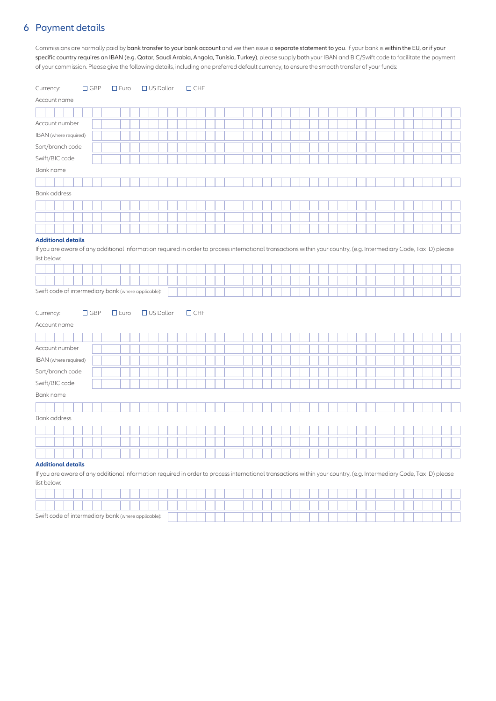#### 6 Payment details

Commissions are normally paid by bank transfer to your bank account and we then issue a separate statement to you. If your bank is within the EU, or if your specific country requires an IBAN (e.g. Qatar, Saudi Arabia, Angola, Tunisia, Turkey), please supply both your IBAN and BIC/Swift code to facilitate the payment of your commission. Please give the following details, including one preferred default currency, to ensure the smooth transfer of your funds:

| Currency:                                           | $\Box$ GBP | $\square$ Euro | $\Box$ US Dollar | $\Box$ CHF                                                                                                                                                          |
|-----------------------------------------------------|------------|----------------|------------------|---------------------------------------------------------------------------------------------------------------------------------------------------------------------|
| Account name                                        |            |                |                  |                                                                                                                                                                     |
|                                                     |            |                |                  |                                                                                                                                                                     |
| Account number                                      |            |                |                  |                                                                                                                                                                     |
| IBAN (where required)                               |            |                |                  |                                                                                                                                                                     |
| Sort/branch code                                    |            |                |                  |                                                                                                                                                                     |
| Swift/BIC code                                      |            |                |                  |                                                                                                                                                                     |
| Bank name                                           |            |                |                  |                                                                                                                                                                     |
|                                                     |            |                |                  |                                                                                                                                                                     |
| <b>Bank</b> address                                 |            |                |                  |                                                                                                                                                                     |
|                                                     |            |                |                  |                                                                                                                                                                     |
|                                                     |            |                |                  |                                                                                                                                                                     |
|                                                     |            |                |                  |                                                                                                                                                                     |
| <b>Additional details</b>                           |            |                |                  |                                                                                                                                                                     |
|                                                     |            |                |                  | If you are aware of any additional information required in order to process international transactions within your country, (e.g. Intermediary Code, Tax ID) please |
| list below:                                         |            |                |                  |                                                                                                                                                                     |
|                                                     |            |                |                  |                                                                                                                                                                     |
|                                                     |            |                |                  |                                                                                                                                                                     |
| Swift code of intermediary bank (where applicable): |            |                |                  |                                                                                                                                                                     |
|                                                     |            |                |                  |                                                                                                                                                                     |
| Currency:                                           | $\Box$ GBP | $\square$ Euro | $\Box$ US Dollar | $\Box$ CHF                                                                                                                                                          |
| Account name                                        |            |                |                  |                                                                                                                                                                     |
|                                                     |            |                |                  |                                                                                                                                                                     |
| Account number                                      |            |                |                  |                                                                                                                                                                     |
| IBAN (where required)                               |            |                |                  |                                                                                                                                                                     |
| Sort/branch code                                    |            |                |                  |                                                                                                                                                                     |
| Swift/BIC code                                      |            |                |                  |                                                                                                                                                                     |
| Bank name                                           |            |                |                  |                                                                                                                                                                     |
|                                                     |            |                |                  |                                                                                                                                                                     |
| <b>Bank</b> address                                 |            |                |                  |                                                                                                                                                                     |
|                                                     |            |                |                  |                                                                                                                                                                     |
|                                                     |            |                |                  |                                                                                                                                                                     |
|                                                     |            |                |                  |                                                                                                                                                                     |
| <b>Additional details</b>                           |            |                |                  |                                                                                                                                                                     |
|                                                     |            |                |                  | If you are aware of any additional information required in order to process international transactions within your country, (e.g. Intermediary Code, Tax ID) please |
| list below:                                         |            |                |                  |                                                                                                                                                                     |
|                                                     |            |                |                  |                                                                                                                                                                     |

| Swift code of intermediary bank (where applicable): |  |  |  |  |  |  |  |  |  |  |  |  |
|-----------------------------------------------------|--|--|--|--|--|--|--|--|--|--|--|--|